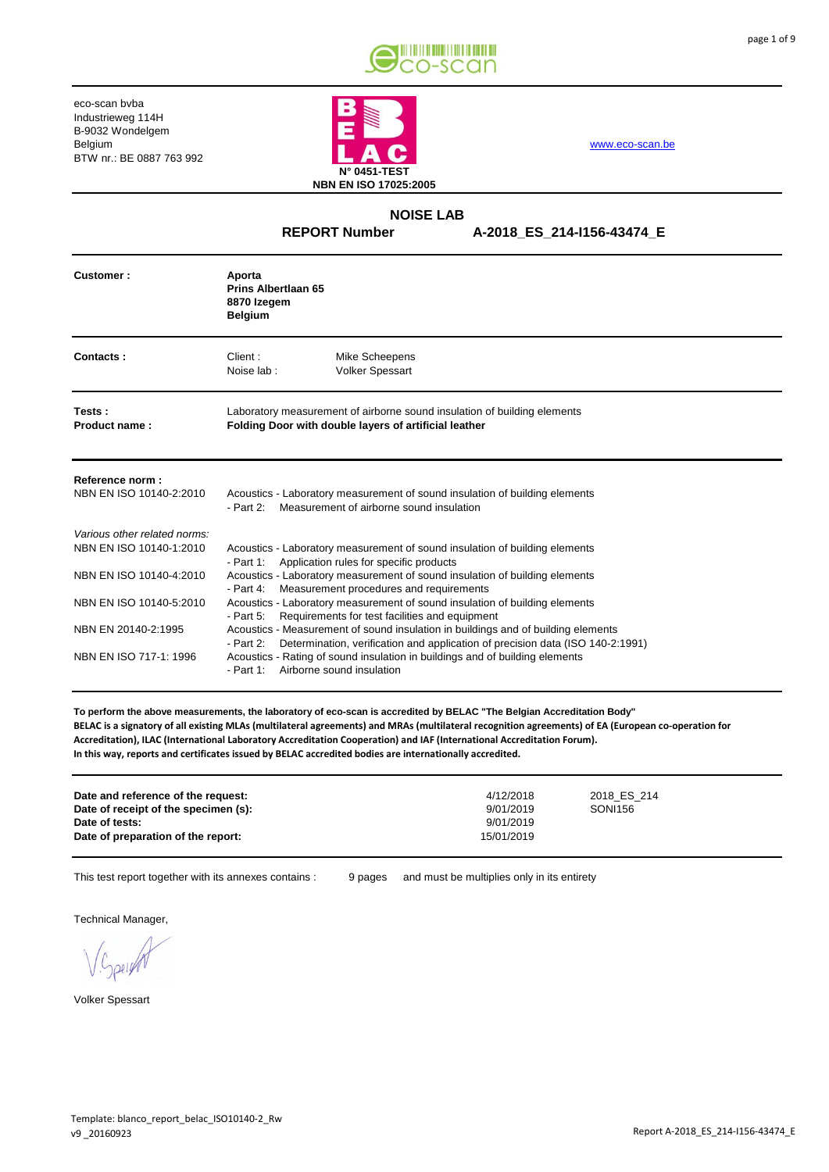



[www.eco-scan.be](http://www.eco-scan.be/)

#### **A-2018\_ES\_214-I156-43474\_E NOISE LAB REPORT Number**

| Customer:                                                                                                                                                      | Aporta<br>Prins Albertlaan 65<br>8870 Izegem<br><b>Belgium</b> |                                                                                                                                                                                                                                                                                                                                                                                                                                                                                                                                                                                                                                          |
|----------------------------------------------------------------------------------------------------------------------------------------------------------------|----------------------------------------------------------------|------------------------------------------------------------------------------------------------------------------------------------------------------------------------------------------------------------------------------------------------------------------------------------------------------------------------------------------------------------------------------------------------------------------------------------------------------------------------------------------------------------------------------------------------------------------------------------------------------------------------------------------|
| Contacts:                                                                                                                                                      | Client:<br>Noise lab:                                          | Mike Scheepens<br><b>Volker Spessart</b>                                                                                                                                                                                                                                                                                                                                                                                                                                                                                                                                                                                                 |
| Tests:<br>Product name:                                                                                                                                        |                                                                | Laboratory measurement of airborne sound insulation of building elements<br>Folding Door with double layers of artificial leather                                                                                                                                                                                                                                                                                                                                                                                                                                                                                                        |
| Reference norm:<br>NBN EN ISO 10140-2:2010                                                                                                                     | - Part 2:                                                      | Acoustics - Laboratory measurement of sound insulation of building elements<br>Measurement of airborne sound insulation                                                                                                                                                                                                                                                                                                                                                                                                                                                                                                                  |
| Various other related norms:<br>NBN EN ISO 10140-1:2010<br>NBN EN ISO 10140-4:2010<br>NBN EN ISO 10140-5:2010<br>NBN EN 20140-2:1995<br>NBN EN ISO 717-1: 1996 | - Part 1:<br>- Part 4:<br>- Part $5:$<br>- Part 2:             | Acoustics - Laboratory measurement of sound insulation of building elements<br>Application rules for specific products<br>Acoustics - Laboratory measurement of sound insulation of building elements<br>Measurement procedures and requirements<br>Acoustics - Laboratory measurement of sound insulation of building elements<br>Requirements for test facilities and equipment<br>Acoustics - Measurement of sound insulation in buildings and of building elements<br>Determination, verification and application of precision data (ISO 140-2:1991)<br>Acoustics - Rating of sound insulation in buildings and of building elements |
|                                                                                                                                                                | - Part 1: Airborne sound insulation                            |                                                                                                                                                                                                                                                                                                                                                                                                                                                                                                                                                                                                                                          |

**To perform the above measurements, the laboratory of eco-scan is accredited by BELAC "The Belgian Accreditation Body" BELAC is a signatory of all existing MLAs (multilateral agreements) and MRAs (multilateral recognition agreements) of EA (European co-operation for Accreditation), ILAC (International Laboratory Accreditation Cooperation) and IAF (International Accreditation Forum). In this way, reports and certificates issued by BELAC accredited bodies are internationally accredited.**

| Date of preparation of the report:<br>15/01/2019 |
|--------------------------------------------------|
|                                                  |

This test report together with its annexes contains : <br>9 pages and must be multiplies only in its entirety

9 pages

Technical Manager,

Volker Spessart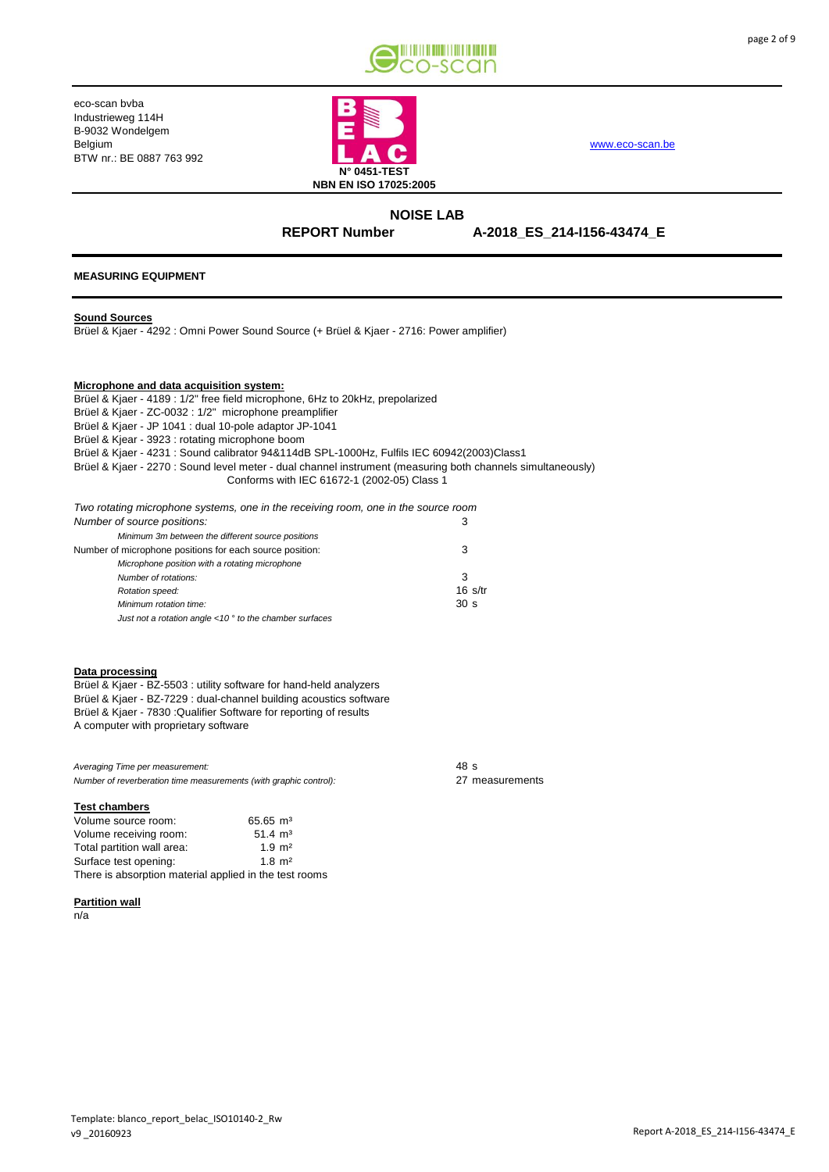



[www.eco-scan.be](http://www.eco-scan.be/)

# **NOISE LAB REPORT Number**

**A-2018\_ES\_214-I156-43474\_E**

# **MEASURING EQUIPMENT**

#### **Sound Sources**

Brüel & Kjaer - 4292 : Omni Power Sound Source (+ Brüel & Kjaer - 2716: Power amplifier)

# **Microphone and data acquisition system:**

Brüel & Kjaer - 4189 : 1/2" free field microphone, 6Hz to 20kHz, prepolarized Brüel & Kjaer - ZC-0032 : 1/2" microphone preamplifier Brüel & Kjaer - JP 1041 : dual 10-pole adaptor JP-1041 Brüel & Kjear - 3923 : rotating microphone boom Brüel & Kjaer - 4231 : Sound calibrator 94&114dB SPL-1000Hz, Fulfils IEC 60942(2003)Class1 Brüel & Kjaer - 2270 : Sound level meter - dual channel instrument (measuring both channels simultaneously) Conforms with IEC 61672-1 (2002-05) Class 1

| Two rotating microphone systems, one in the receiving room, one in the source room |                                |
|------------------------------------------------------------------------------------|--------------------------------|
| Number of source positions:                                                        | 3                              |
| Minimum 3m between the different source positions                                  |                                |
| Number of microphone positions for each source position:                           | З                              |
| Microphone position with a rotating microphone                                     |                                |
| Number of rotations:                                                               |                                |
| Rotation speed:                                                                    | $16 \frac{\text{s}}{\text{t}}$ |
| Minimum rotation time:                                                             | 30 <sub>s</sub>                |

#### **Data processing**

Brüel & Kjaer - BZ-5503 : utility software for hand-held analyzers Brüel & Kjaer - BZ-7229 : dual-channel building acoustics software Brüel & Kjaer - 7830 :Qualifier Software for reporting of results A computer with proprietary software

*Just not a rotation angle <10 ° to the chamber surfaces*

| Averaging Time per measurement:                                   | 48 s            |
|-------------------------------------------------------------------|-----------------|
| Number of reverberation time measurements (with graphic control): | 27 measurements |

#### **Test chambers**

| Volume source room:                                    | $65.65 \text{ m}^3$ |
|--------------------------------------------------------|---------------------|
| Volume receiving room:                                 | $51.4 \text{ m}^3$  |
| Total partition wall area:                             | $1.9 \text{ m}^2$   |
| Surface test opening:                                  | $1.8 \text{ m}^2$   |
| There is absorption material applied in the test rooms |                     |

#### **Partition wall**

n/a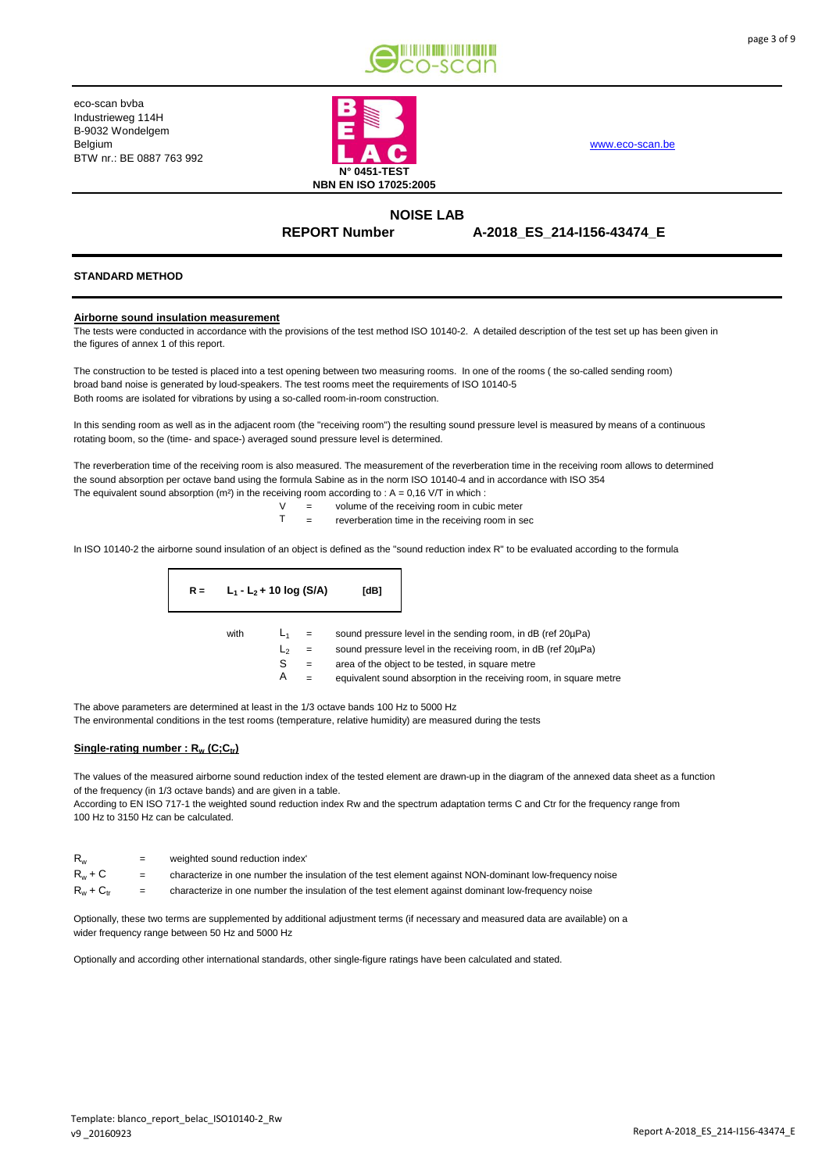



**NOISE LAB REPORT Number** 

# **A-2018\_ES\_214-I156-43474\_E**

#### **STANDARD METHOD**

#### **Airborne sound insulation measurement**

The tests were conducted in accordance with the provisions of the test method ISO 10140-2. A detailed description of the test set up has been given in the figures of annex 1 of this report.

The construction to be tested is placed into a test opening between two measuring rooms. In one of the rooms ( the so-called sending room) broad band noise is generated by loud-speakers. The test rooms meet the requirements of ISO 10140-5 Both rooms are isolated for vibrations by using a so-called room-in-room construction.

In this sending room as well as in the adjacent room (the "receiving room") the resulting sound pressure level is measured by means of a continuous rotating boom, so the (time- and space-) averaged sound pressure level is determined.

The reverberation time of the receiving room is also measured. The measurement of the reverberation time in the receiving room allows to determined the sound absorption per octave band using the formula Sabine as in the norm ISO 10140-4 and in accordance with ISO 354 The equivalent sound absorption (m<sup>2</sup>) in the receiving room according to :  $A = 0.16$  V/T in which :

$$
V = \text{volume of the receiving room in cubic meter}
$$

 $T =$  reverberation time in the receiving room in sec

In ISO 10140-2 the airborne sound insulation of an object is defined as the "sound reduction index R" to be evaluated according to the formula

| $R =$ | $L_1 - L_2 + 10$ log (S/A) | [dB]             |
|-------|----------------------------|------------------|
|       | حاء: ۱۰۰                   | aaund neagauna L |

with  $L_1$  = sound pressure level in the sending room, in dB (ref 20 $\mu$ Pa)

 $L<sub>2</sub>$  = sound pressure level in the receiving room, in dB (ref 20 $\mu$ Pa)

S = area of the object to be tested, in square metre

 $A =$  equivalent sound absorption in the receiving room, in square metre

The above parameters are determined at least in the 1/3 octave bands 100 Hz to 5000 Hz

The environmental conditions in the test rooms (temperature, relative humidity) are measured during the tests

### **Single-rating number : Rw (C;Ctr)**

The values of the measured airborne sound reduction index of the tested element are drawn-up in the diagram of the annexed data sheet as a function of the frequency (in 1/3 octave bands) and are given in a table.

According to EN ISO 717-1 the weighted sound reduction index Rw and the spectrum adaptation terms C and Ctr for the frequency range from 100 Hz to 3150 Hz can be calculated.

| $R_{w}$        | $=$ | weighted sound reduction index'                                                                        |
|----------------|-----|--------------------------------------------------------------------------------------------------------|
| $R_w + C$      | $=$ | characterize in one number the insulation of the test element against NON-dominant low-frequency noise |
| $R_w + C_{tr}$ | $=$ | characterize in one number the insulation of the test element against dominant low-frequency noise     |

Optionally, these two terms are supplemented by additional adjustment terms (if necessary and measured data are available) on a wider frequency range between 50 Hz and 5000 Hz

Optionally and according other international standards, other single-figure ratings have been calculated and stated.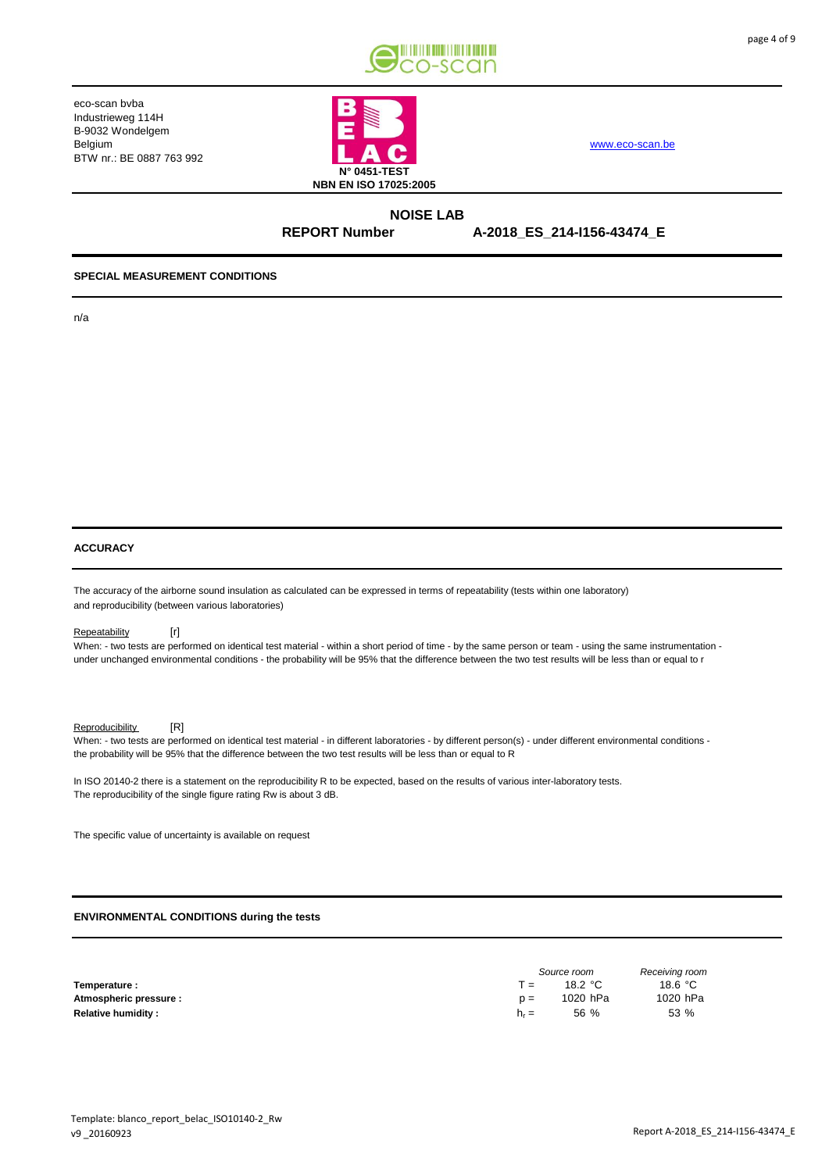



[www.eco-scan.be](http://www.eco-scan.be/)

**NOISE LAB**

**A-2018\_ES\_214-I156-43474\_E REPORT Number** 

#### **SPECIAL MEASUREMENT CONDITIONS**

n/a

# **ACCURACY**

The accuracy of the airborne sound insulation as calculated can be expressed in terms of repeatability (tests within one laboratory) and reproducibility (between various laboratories)

# Repeatability [r]

When: - two tests are performed on identical test material - within a short period of time - by the same person or team - using the same instrumentation under unchanged environmental conditions - the probability will be 95% that the difference between the two test results will be less than or equal to r

Reproducibility [R]

When: - two tests are performed on identical test material - in different laboratories - by different person(s) - under different environmental conditions the probability will be 95% that the difference between the two test results will be less than or equal to R

In ISO 20140-2 there is a statement on the reproducibility R to be expected, based on the results of various inter-laboratory tests. The reproducibility of the single figure rating Rw is about 3 dB.

The specific value of uncertainty is available on request

# **ENVIRONMENTAL CONDITIONS during the tests**

|                           |         | Source room | Receiving room |  |
|---------------------------|---------|-------------|----------------|--|
| Temperature :             | т =     | 18.2 °C     | 18.6 °C        |  |
| Atmospheric pressure :    | $D =$   | 1020 hPa    | 1020 hPa       |  |
| <b>Relative humidity:</b> | $h_r =$ | 56 %        | 53 %           |  |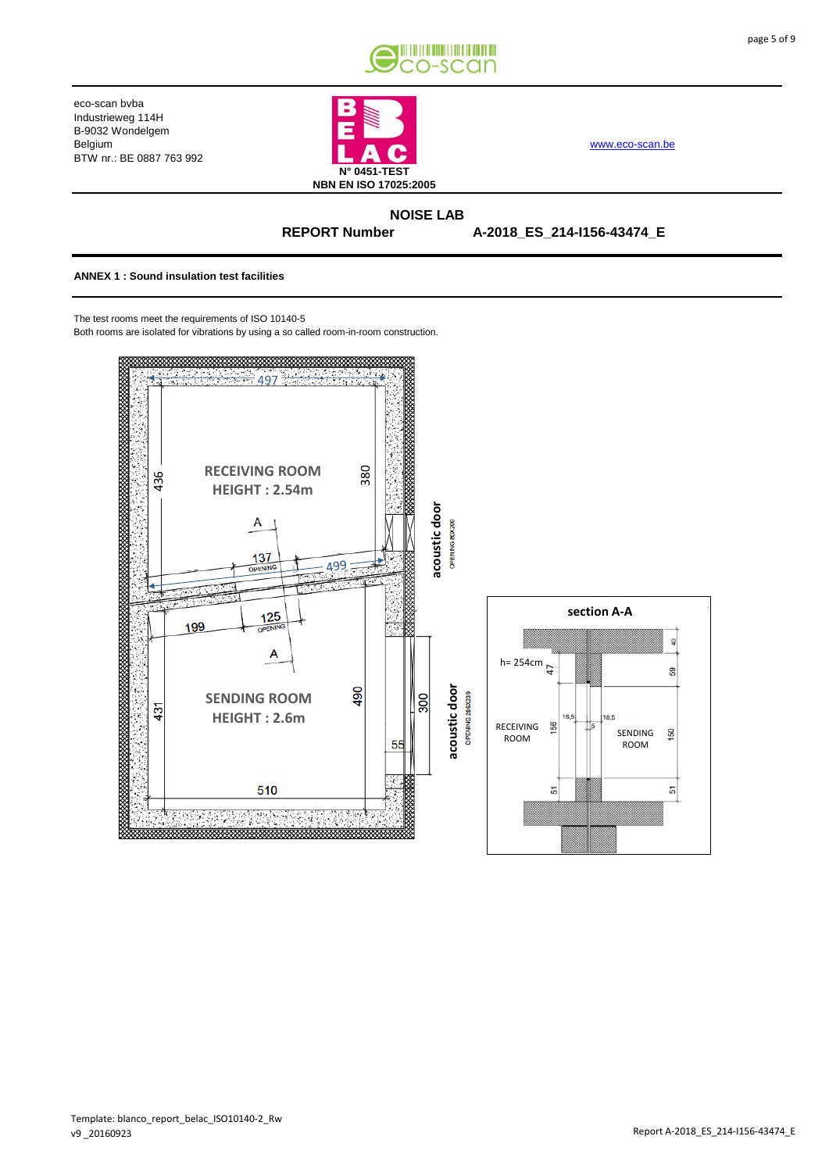



[www.eco-scan.be](http://www.eco-scan.be/)

# **NOISE LAB REPORT Number**

**A-2018\_ES\_214-I156-43474\_E**

#### **ANNEX 1 : Sound insulation test facilities**

The test rooms meet the requirements of ISO 10140-5

Both rooms are isolated for vibrations by using a so called room-in-room construction.

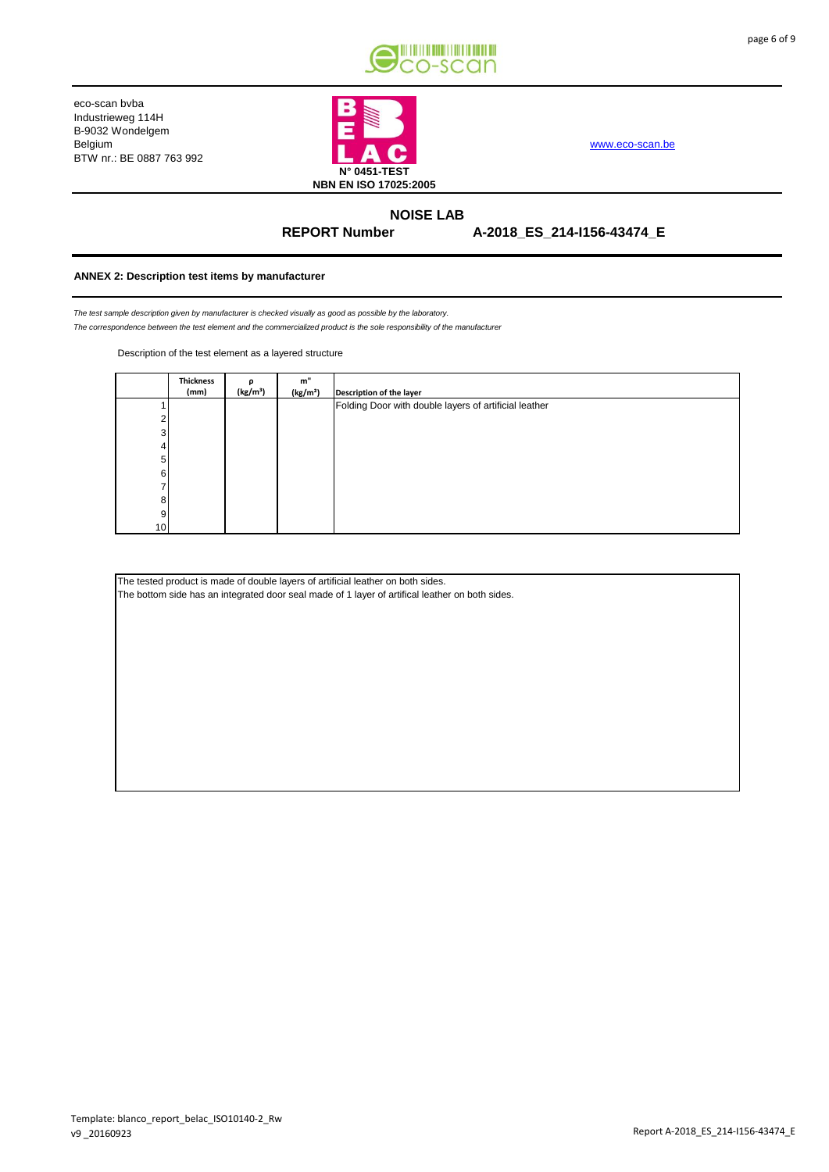



[www.eco-scan.be](http://www.eco-scan.be/)

**NOISE LAB REPORT Number** 

**A-2018\_ES\_214-I156-43474\_E**

### **ANNEX 2: Description test items by manufacturer**

*The test sample description given by manufacturer is checked visually as good as possible by the laboratory. The correspondence between the test element and the commercialized product is the sole responsibility of the manufacturer*

Description of the test element as a layered structure

|        | <b>Thickness</b> | ٥                    | m"                   |                                                       |
|--------|------------------|----------------------|----------------------|-------------------------------------------------------|
|        | (mm)             | (kg/m <sup>3</sup> ) | (kg/m <sup>2</sup> ) | Description of the layer                              |
|        |                  |                      |                      | Folding Door with double layers of artificial leather |
| $\sim$ |                  |                      |                      |                                                       |
| 3      |                  |                      |                      |                                                       |
|        |                  |                      |                      |                                                       |
| 5      |                  |                      |                      |                                                       |
| 6      |                  |                      |                      |                                                       |
|        |                  |                      |                      |                                                       |
| 8      |                  |                      |                      |                                                       |
| 9      |                  |                      |                      |                                                       |
| 10     |                  |                      |                      |                                                       |

The tested product is made of double layers of artificial leather on both sides.

The bottom side has an integrated door seal made of 1 layer of artifical leather on both sides.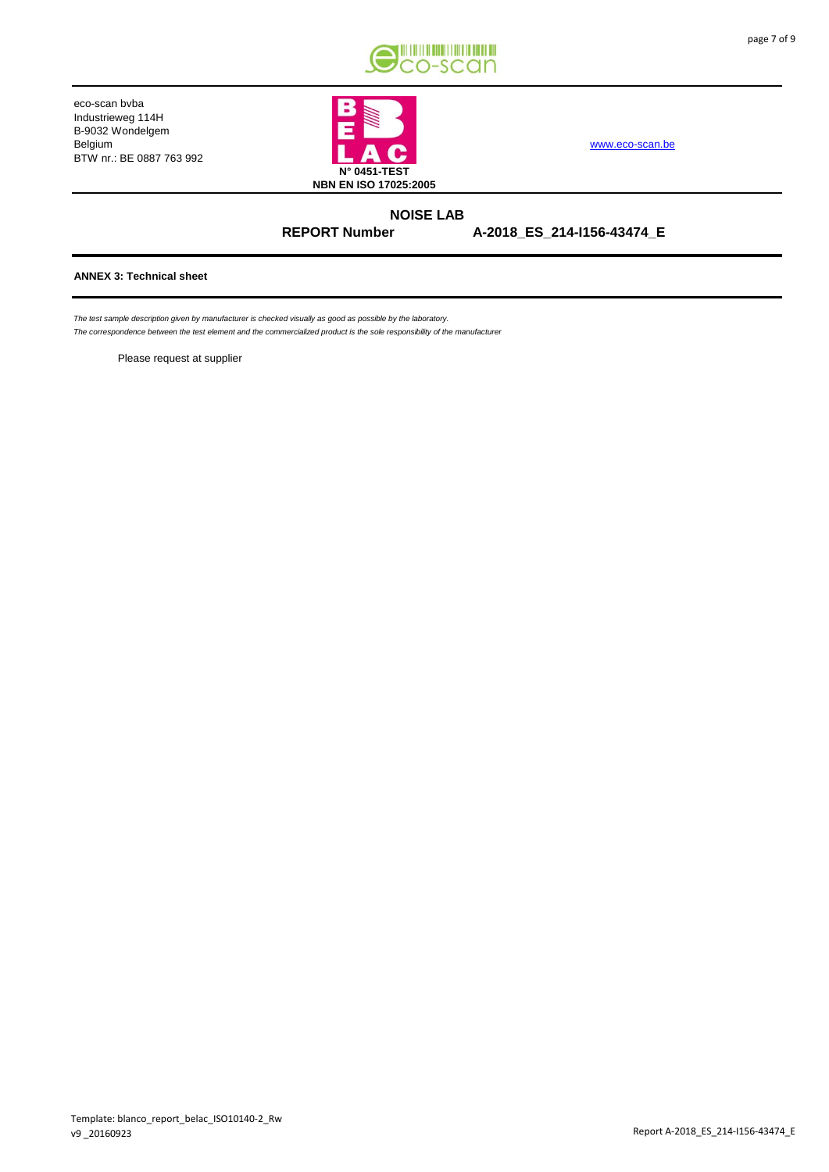



[www.eco-scan.be](http://www.eco-scan.be/)

**NOISE LAB REPORT Number** 

**A-2018\_ES\_214-I156-43474\_E**

# **ANNEX 3: Technical sheet**

*The test sample description given by manufacturer is checked visually as good as possible by the laboratory.*

*The correspondence between the test element and the commercialized product is the sole responsibility of the manufacturer*

Please request at supplier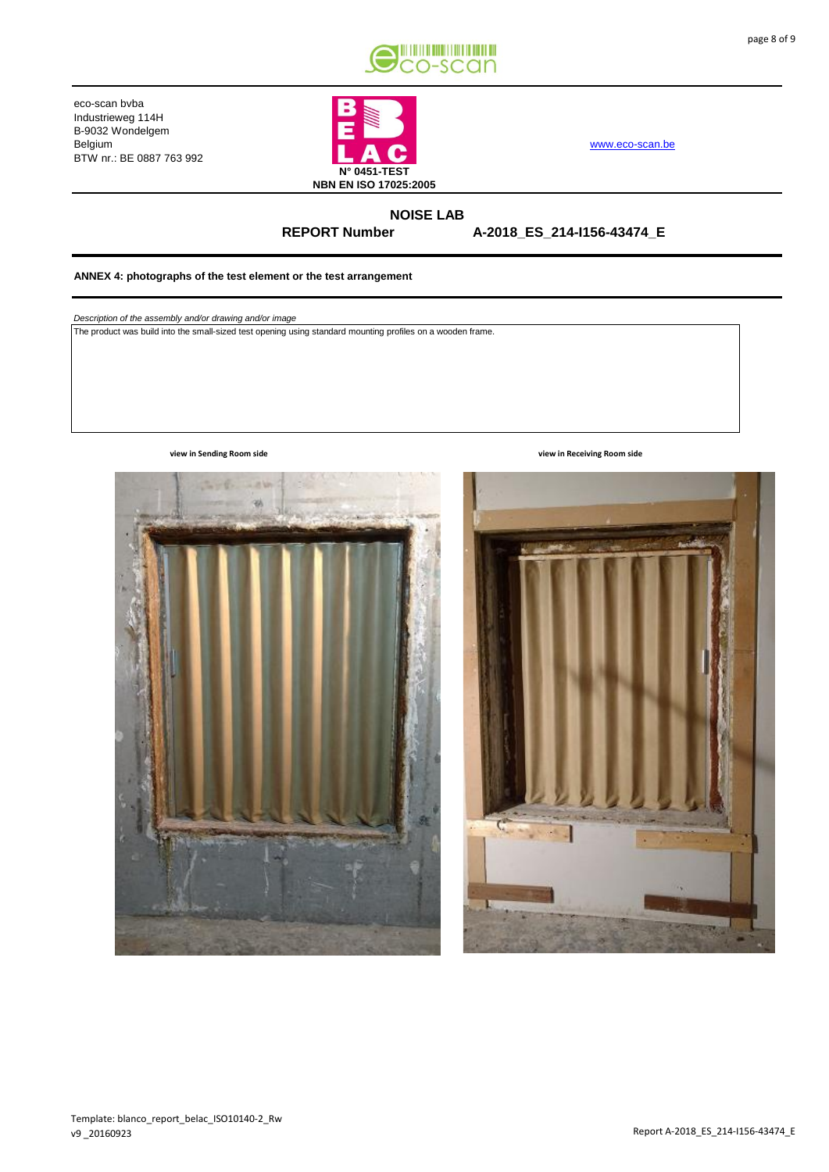



[www.eco-scan.be](http://www.eco-scan.be/)

**NOISE LAB REPORT Number** 

**A-2018\_ES\_214-I156-43474\_E**

# **ANNEX 4: photographs of the test element or the test arrangement**

*Description of the assembly and/or drawing and/or image*

The product was build into the small-sized test opening using standard mounting profiles on a wooden frame.